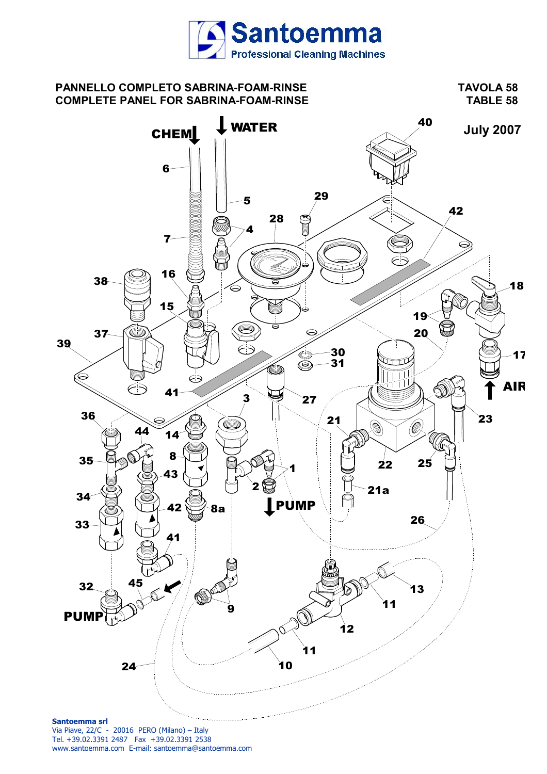

# **PANNELLO COMPLETO SABRINA-FOAM-RINSE TAVOLA 58 COMPLETE PANEL FOR SABRINA-FOAM-RINSE TABLE 58**

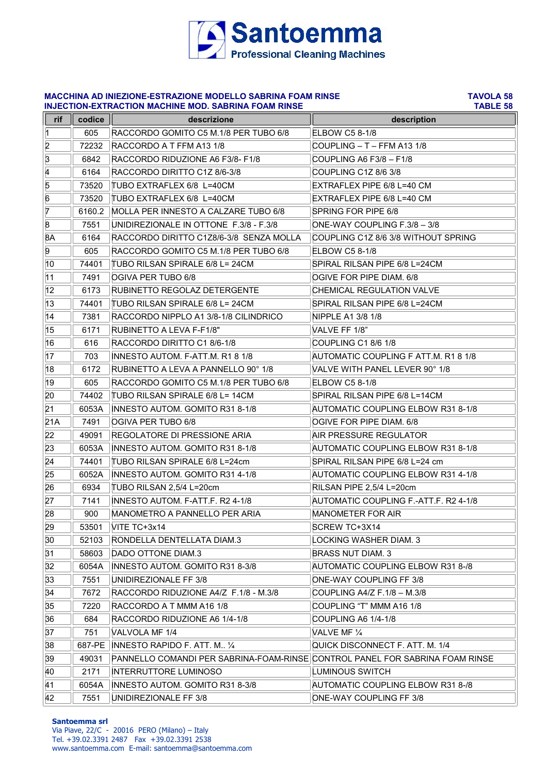

### **MACCHINA AD INIEZIONE-ESTRAZIONE MODELLO SABRINA FOAM RINSE TAVOLA 58 INJECTION-EXTRACTION MACHINE MOD. SABRINA FOAM RINSE**

| rif              | codice         | descrizione                                                                  | description                           |
|------------------|----------------|------------------------------------------------------------------------------|---------------------------------------|
| $\vert$ 1        | 605            | RACCORDO GOMITO C5 M.1/8 PER TUBO 6/8                                        | ELBOW C5 8-1/8                        |
| $\overline{2}$   | 72232          | RACCORDO A T FFM A13 1/8                                                     | COUPLING - T - FFM A13 1/8            |
| 3                | 6842           | RACCORDO RIDUZIONE A6 F3/8-F1/8                                              | COUPLING A6 F3/8 - F1/8               |
| 4                | 6164           | RACCORDO DIRITTO C1Z 8/6-3/8                                                 | COUPLING C1Z 8/6 3/8                  |
| 5                |                | TUBO EXTRAFLEX 6/8 L=40CM                                                    | EXTRAFLEX PIPE 6/8 L=40 CM            |
| 6                | 73520<br>73520 | TUBO EXTRAFLEX 6/8 L=40CM                                                    | EXTRAFLEX PIPE 6/8 L=40 CM            |
| 7                |                |                                                                              |                                       |
| $\boldsymbol{8}$ | 6160.2         | MOLLA PER INNESTO A CALZARE TUBO 6/8                                         | SPRING FOR PIPE 6/8                   |
|                  | 7551           | UNIDIREZIONALE IN OTTONE F.3/8 - F.3/8                                       | ONE-WAY COUPLING F.3/8 - 3/8          |
| 8A<br>9          | 6164           | RACCORDO DIRITTO C1Z8/6-3/8 SENZA MOLLA                                      | COUPLING C1Z 8/6 3/8 WITHOUT SPRING   |
|                  | 605            | RACCORDO GOMITO C5 M.1/8 PER TUBO 6/8                                        | ELBOW C5 8-1/8                        |
| 10               | 74401          | TUBO RILSAN SPIRALE 6/8 L= 24CM                                              | SPIRAL RILSAN PIPE 6/8 L=24CM         |
| 11               | 7491           | OGIVA PER TUBO 6/8                                                           | OGIVE FOR PIPE DIAM. 6/8              |
| $ 12\rangle$     | 6173           | RUBINETTO REGOLAZ DETERGENTE                                                 | <b>CHEMICAL REGULATION VALVE</b>      |
| 13               | 74401          | TUBO RILSAN SPIRALE 6/8 L= 24CM                                              | SPIRAL RILSAN PIPE 6/8 L=24CM         |
| 14               | 7381           | RACCORDO NIPPLO A1 3/8-1/8 CILINDRICO                                        | NIPPLE A1 3/8 1/8                     |
| 15               | 6171           | RUBINETTO A LEVA F-F1/8"                                                     | VALVE FF 1/8"                         |
| 16               | 616            | RACCORDO DIRITTO C1 8/6-1/8                                                  | COUPLING C1 8/6 1/8                   |
| 17               | 703            | INNESTO AUTOM. F-ATT.M. R1 8 1/8                                             | AUTOMATIC COUPLING F ATT.M. R1 8 1/8  |
| 18               | 6172           | RUBINETTO A LEVA A PANNELLO 90° 1/8                                          | VALVE WITH PANEL LEVER 90° 1/8        |
| 19               | 605            | RACCORDO GOMITO C5 M.1/8 PER TUBO 6/8                                        | ELBOW C5 8-1/8                        |
| 20               | 74402          | TUBO RILSAN SPIRALE 6/8 L= 14CM                                              | SPIRAL RILSAN PIPE 6/8 L=14CM         |
| 21               | 6053A          | INNESTO AUTOM. GOMITO R31 8-1/8                                              | AUTOMATIC COUPLING ELBOW R31 8-1/8    |
| 21A              | 7491           | OGIVA PER TUBO 6/8                                                           | OGIVE FOR PIPE DIAM. 6/8              |
| 22               | 49091          | REGOLATORE DI PRESSIONE ARIA                                                 | AIR PRESSURE REGULATOR                |
| 23               | 6053A          | INNESTO AUTOM. GOMITO R31 8-1/8                                              | AUTOMATIC COUPLING ELBOW R31 8-1/8    |
| 24               | 74401          | TUBO RILSAN SPIRALE 6/8 L=24cm                                               | SPIRAL RILSAN PIPE 6/8 L=24 cm        |
| 25               | 6052A          | INNESTO AUTOM. GOMITO R31 4-1/8                                              | AUTOMATIC COUPLING ELBOW R31 4-1/8    |
| 26               | 6934           | TUBO RILSAN 2,5/4 L=20cm                                                     | RILSAN PIPE 2,5/4 L=20cm              |
| 27               | 7141           | INNESTO AUTOM. F-ATT.F. R2 4-1/8                                             | AUTOMATIC COUPLING F.-ATT.F. R2 4-1/8 |
| 28               | 900            | MANOMETRO A PANNELLO PER ARIA                                                | <b>MANOMETER FOR AIR</b>              |
| 29               | 53501          | VITE TC+3x14                                                                 | SCREW TC+3X14                         |
| 30               | 52103          | RONDELLA DENTELLATA DIAM.3                                                   | LOCKING WASHER DIAM. 3                |
| 31               | 58603          | DADO OTTONE DIAM.3                                                           | <b>BRASS NUT DIAM. 3</b>              |
| 32               | 6054A          | INNESTO AUTOM. GOMITO R31 8-3/8                                              | AUTOMATIC COUPLING ELBOW R31 8-/8     |
| 33               | 7551           | UNIDIREZIONALE FF 3/8                                                        | ONE-WAY COUPLING FF 3/8               |
| 34               | 7672           | RACCORDO RIDUZIONE A4/Z F.1/8 - M.3/8                                        | COUPLING A4/Z F.1/8 - M.3/8           |
| 35               | 7220           | RACCORDO A T MMM A16 1/8                                                     | COUPLING "T" MMM A16 1/8              |
| 36               | 684            | RACCORDO RIDUZIONE A6 1/4-1/8                                                | COUPLING A6 1/4-1/8                   |
| 37               | 751            | VALVOLA MF 1/4                                                               | VALVE MF 1/4                          |
| 38               | 687-PE         | INNESTO RAPIDO F. ATT. M., 1/4                                               | QUICK DISCONNECT F. ATT. M. 1/4       |
| 39               | 49031          | PANNELLO COMANDI PER SABRINA-FOAM-RINSE CONTROL PANEL FOR SABRINA FOAM RINSE |                                       |
| 40               | 2171           | <b>INTERRUTTORE LUMINOSO</b>                                                 | LUMINOUS SWITCH                       |
| 41               | 6054A          | INNESTO AUTOM. GOMITO R31 8-3/8                                              | AUTOMATIC COUPLING ELBOW R31 8-/8     |
| 42               | 7551           | UNIDIREZIONALE FF 3/8                                                        | ONE-WAY COUPLING FF 3/8               |

### **Santoemma srl**